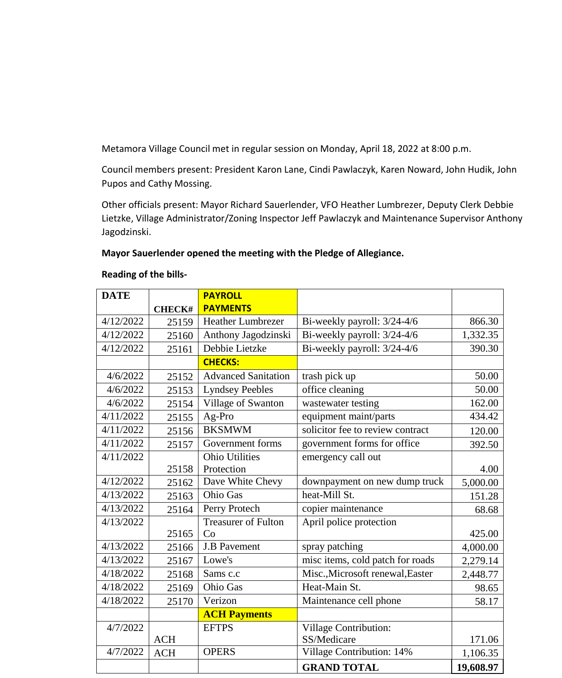Metamora Village Council met in regular session on Monday, April 18, 2022 at 8:00 p.m.

Council members present: President Karon Lane, Cindi Pawlaczyk, Karen Noward, John Hudik, John Pupos and Cathy Mossing.

Other officials present: Mayor Richard Sauerlender, VFO Heather Lumbrezer, Deputy Clerk Debbie Lietzke, Village Administrator/Zoning Inspector Jeff Pawlaczyk and Maintenance Supervisor Anthony Jagodzinski.

## **Mayor Sauerlender opened the meeting with the Pledge of Allegiance.**

| <b>DATE</b> |               | <b>PAYROLL</b>             |                                  |           |
|-------------|---------------|----------------------------|----------------------------------|-----------|
|             | <b>CHECK#</b> | <b>PAYMENTS</b>            |                                  |           |
| 4/12/2022   | 25159         | <b>Heather Lumbrezer</b>   | Bi-weekly payroll: 3/24-4/6      | 866.30    |
| 4/12/2022   | 25160         | Anthony Jagodzinski        | Bi-weekly payroll: 3/24-4/6      | 1,332.35  |
| 4/12/2022   | 25161         | Debbie Lietzke             | Bi-weekly payroll: 3/24-4/6      | 390.30    |
|             |               | <b>CHECKS:</b>             |                                  |           |
| 4/6/2022    | 25152         | <b>Advanced Sanitation</b> | trash pick up                    | 50.00     |
| 4/6/2022    | 25153         | <b>Lyndsey Peebles</b>     | office cleaning                  | 50.00     |
| 4/6/2022    | 25154         | Village of Swanton         | wastewater testing               | 162.00    |
| 4/11/2022   | 25155         | Ag-Pro                     | equipment maint/parts            | 434.42    |
| 4/11/2022   | 25156         | <b>BKSMWM</b>              | solicitor fee to review contract | 120.00    |
| 4/11/2022   | 25157         | Government forms           | government forms for office      | 392.50    |
| 4/11/2022   |               | <b>Ohio Utilities</b>      | emergency call out               |           |
|             | 25158         | Protection                 |                                  | 4.00      |
| 4/12/2022   | 25162         | Dave White Chevy           | downpayment on new dump truck    | 5,000.00  |
| 4/13/2022   | 25163         | <b>Ohio Gas</b>            | heat-Mill St.                    | 151.28    |
| 4/13/2022   | 25164         | Perry Protech              | copier maintenance               | 68.68     |
| 4/13/2022   |               | <b>Treasurer of Fulton</b> | April police protection          |           |
|             | 25165         | Co                         |                                  | 425.00    |
| 4/13/2022   | 25166         | <b>J.B Pavement</b>        | spray patching                   | 4,000.00  |
| 4/13/2022   | 25167         | Lowe's                     | misc items, cold patch for roads | 2,279.14  |
| 4/18/2022   | 25168         | Sams c.c                   | Misc., Microsoft renewal, Easter | 2,448.77  |
| 4/18/2022   | 25169         | <b>Ohio Gas</b>            | Heat-Main St.                    | 98.65     |
| 4/18/2022   | 25170         | Verizon                    | Maintenance cell phone           | 58.17     |
|             |               | <b>ACH Payments</b>        |                                  |           |
| 4/7/2022    |               | <b>EFTPS</b>               | Village Contribution:            |           |
|             | <b>ACH</b>    |                            | SS/Medicare                      | 171.06    |
| 4/7/2022    | ACH           | <b>OPERS</b>               | Village Contribution: 14%        | 1,106.35  |
|             |               |                            | <b>GRAND TOTAL</b>               | 19,608.97 |

## **Reading of the bills-**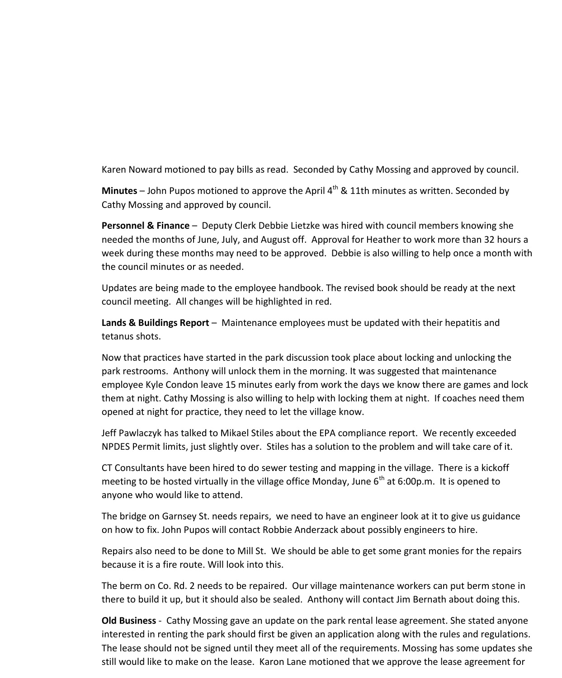Karen Noward motioned to pay bills as read. Seconded by Cathy Mossing and approved by council.

Minutes – John Pupos motioned to approve the April 4<sup>th</sup> & 11th minutes as written. Seconded by Cathy Mossing and approved by council.

**Personnel & Finance** – Deputy Clerk Debbie Lietzke was hired with council members knowing she needed the months of June, July, and August off. Approval for Heather to work more than 32 hours a week during these months may need to be approved. Debbie is also willing to help once a month with the council minutes or as needed.

Updates are being made to the employee handbook. The revised book should be ready at the next council meeting. All changes will be highlighted in red.

**Lands & Buildings Report** – Maintenance employees must be updated with their hepatitis and tetanus shots.

Now that practices have started in the park discussion took place about locking and unlocking the park restrooms. Anthony will unlock them in the morning. It was suggested that maintenance employee Kyle Condon leave 15 minutes early from work the days we know there are games and lock them at night. Cathy Mossing is also willing to help with locking them at night. If coaches need them opened at night for practice, they need to let the village know.

Jeff Pawlaczyk has talked to Mikael Stiles about the EPA compliance report. We recently exceeded NPDES Permit limits, just slightly over. Stiles has a solution to the problem and will take care of it.

CT Consultants have been hired to do sewer testing and mapping in the village. There is a kickoff meeting to be hosted virtually in the village office Monday, June  $6<sup>th</sup>$  at 6:00p.m. It is opened to anyone who would like to attend.

The bridge on Garnsey St. needs repairs, we need to have an engineer look at it to give us guidance on how to fix. John Pupos will contact Robbie Anderzack about possibly engineers to hire.

Repairs also need to be done to Mill St. We should be able to get some grant monies for the repairs because it is a fire route. Will look into this.

The berm on Co. Rd. 2 needs to be repaired. Our village maintenance workers can put berm stone in there to build it up, but it should also be sealed. Anthony will contact Jim Bernath about doing this.

**Old Business** - Cathy Mossing gave an update on the park rental lease agreement. She stated anyone interested in renting the park should first be given an application along with the rules and regulations. The lease should not be signed until they meet all of the requirements. Mossing has some updates she still would like to make on the lease. Karon Lane motioned that we approve the lease agreement for